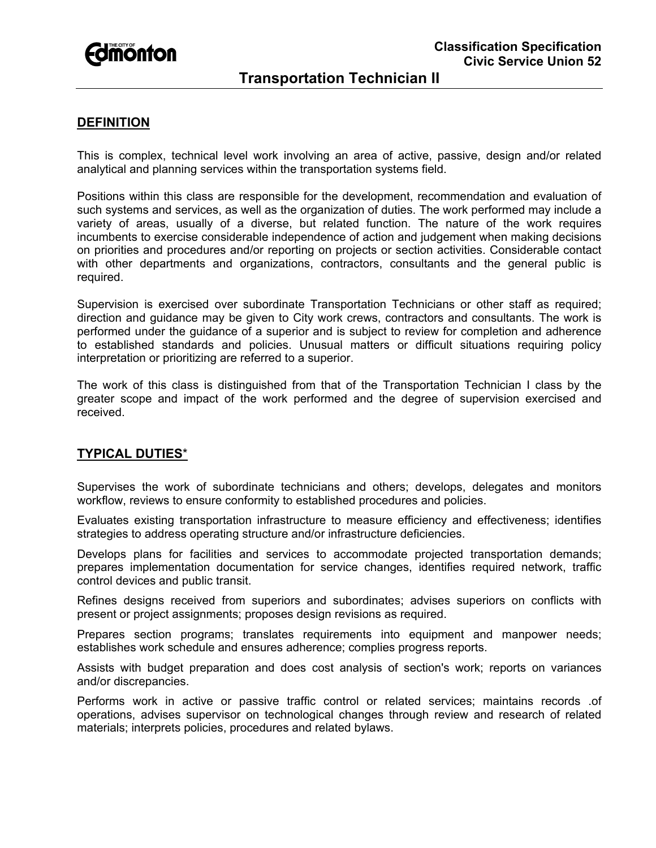

# **Transportation Technician II**

## **DEFINITION**

This is complex, technical level work involving an area of active, passive, design and/or related analytical and planning services within the transportation systems field.

Positions within this class are responsible for the development, recommendation and evaluation of such systems and services, as well as the organization of duties. The work performed may include a variety of areas, usually of a diverse, but related function. The nature of the work requires incumbents to exercise considerable independence of action and judgement when making decisions on priorities and procedures and/or reporting on projects or section activities. Considerable contact with other departments and organizations, contractors, consultants and the general public is required.

Supervision is exercised over subordinate Transportation Technicians or other staff as required; direction and guidance may be given to City work crews, contractors and consultants. The work is performed under the guidance of a superior and is subject to review for completion and adherence to established standards and policies. Unusual matters or difficult situations requiring policy interpretation or prioritizing are referred to a superior.

The work of this class is distinguished from that of the Transportation Technician I class by the greater scope and impact of the work performed and the degree of supervision exercised and received.

### **TYPICAL DUTIES**\*

Supervises the work of subordinate technicians and others; develops, delegates and monitors workflow, reviews to ensure conformity to established procedures and policies.

Evaluates existing transportation infrastructure to measure efficiency and effectiveness; identifies strategies to address operating structure and/or infrastructure deficiencies.

Develops plans for facilities and services to accommodate projected transportation demands; prepares implementation documentation for service changes, identifies required network, traffic control devices and public transit.

Refines designs received from superiors and subordinates; advises superiors on conflicts with present or project assignments; proposes design revisions as required.

Prepares section programs; translates requirements into equipment and manpower needs; establishes work schedule and ensures adherence; complies progress reports.

Assists with budget preparation and does cost analysis of section's work; reports on variances and/or discrepancies.

Performs work in active or passive traffic control or related services; maintains records .of operations, advises supervisor on technological changes through review and research of related materials; interprets policies, procedures and related bylaws.